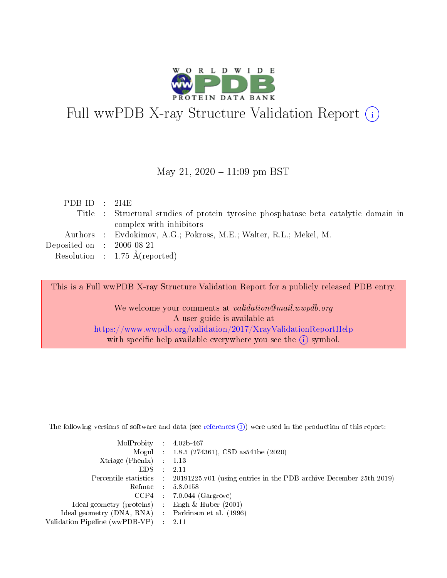

# Full wwPDB X-ray Structure Validation Report (i)

#### May 21,  $2020 - 11:09$  pm BST

| PDB ID : $214E$                      |                                                                                     |
|--------------------------------------|-------------------------------------------------------------------------------------|
|                                      | Title : Structural studies of protein tyrosine phosphatase beta catalytic domain in |
|                                      | complex with inhibitors                                                             |
|                                      | Authors : Evdokimov, A.G.; Pokross, M.E.; Walter, R.L.; Mekel, M.                   |
| Deposited on $\therefore$ 2006-08-21 |                                                                                     |
|                                      | Resolution : $1.75 \text{ Å}$ (reported)                                            |

This is a Full wwPDB X-ray Structure Validation Report for a publicly released PDB entry.

We welcome your comments at validation@mail.wwpdb.org A user guide is available at <https://www.wwpdb.org/validation/2017/XrayValidationReportHelp> with specific help available everywhere you see the  $(i)$  symbol.

The following versions of software and data (see [references](https://www.wwpdb.org/validation/2017/XrayValidationReportHelp#references)  $(1)$ ) were used in the production of this report:

| $MolProbability$ : 4.02b-467                      |                              |                                                                                            |
|---------------------------------------------------|------------------------------|--------------------------------------------------------------------------------------------|
|                                                   |                              | Mogul : 1.8.5 (274361), CSD as 541be (2020)                                                |
| Xtriage (Phenix) $: 1.13$                         |                              |                                                                                            |
| EDS –                                             | $\sim$                       | -2.11                                                                                      |
|                                                   |                              | Percentile statistics : 20191225.v01 (using entries in the PDB archive December 25th 2019) |
| Refmac : 5.8.0158                                 |                              |                                                                                            |
| CCP4                                              |                              | $7.0.044$ (Gargrove)                                                                       |
| Ideal geometry (proteins)                         | $\mathcal{L}_{\mathrm{eff}}$ | Engh & Huber $(2001)$                                                                      |
| Ideal geometry (DNA, RNA) Parkinson et al. (1996) |                              |                                                                                            |
| Validation Pipeline (wwPDB-VP) : 2.11             |                              |                                                                                            |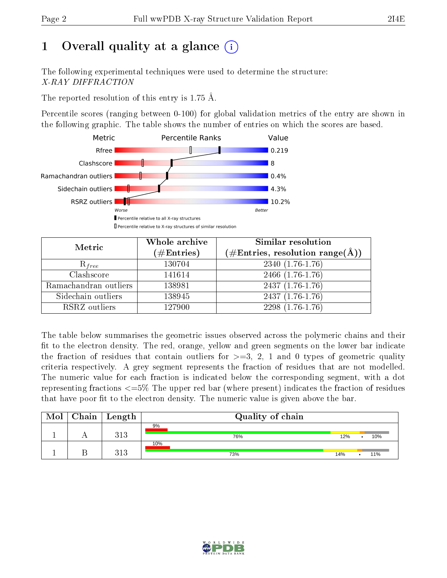## 1 [O](https://www.wwpdb.org/validation/2017/XrayValidationReportHelp#overall_quality)verall quality at a glance  $(i)$

The following experimental techniques were used to determine the structure: X-RAY DIFFRACTION

The reported resolution of this entry is 1.75 Å.

Percentile scores (ranging between 0-100) for global validation metrics of the entry are shown in the following graphic. The table shows the number of entries on which the scores are based.



| Metric                | Whole archive<br>$(\#\text{Entries})$ | Similar resolution<br>(#Entries, resolution range(Å)) |
|-----------------------|---------------------------------------|-------------------------------------------------------|
| $R_{free}$            | 130704                                | $2340(1.76-1.76)$                                     |
| Clashscore            | 141614                                | $2466$ $(1.76-1.76)$                                  |
| Ramachandran outliers | 138981                                | $2437(1.76-1.76)$                                     |
| Sidechain outliers    | 138945                                | $2437(1.76-1.76)$                                     |
| RSRZ outliers         | 127900                                | $2298(1.76-1.76)$                                     |

The table below summarises the geometric issues observed across the polymeric chains and their fit to the electron density. The red, orange, yellow and green segments on the lower bar indicate the fraction of residues that contain outliers for  $>=3, 2, 1$  and 0 types of geometric quality criteria respectively. A grey segment represents the fraction of residues that are not modelled. The numeric value for each fraction is indicated below the corresponding segment, with a dot representing fractions  $\epsilon=5\%$  The upper red bar (where present) indicates the fraction of residues that have poor fit to the electron density. The numeric value is given above the bar.

| Mol | $\mid$ Chain $\mid$ Length | Quality of chain |     |     |
|-----|----------------------------|------------------|-----|-----|
|     | 313                        | 9%<br>76%        | 12% | 10% |
|     | 313                        | 10%<br>73%       | 14% | 11% |

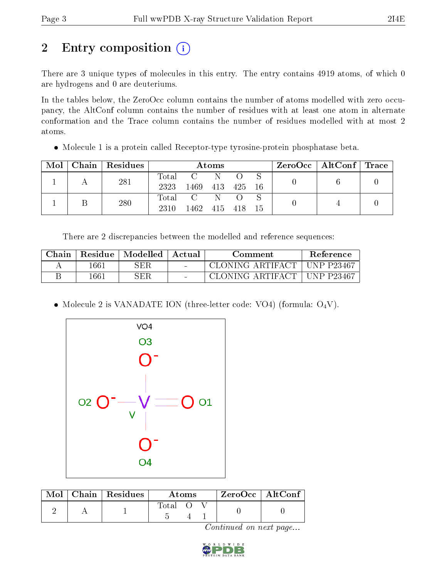## 2 Entry composition (i)

There are 3 unique types of molecules in this entry. The entry contains 4919 atoms, of which 0 are hydrogens and 0 are deuteriums.

In the tables below, the ZeroOcc column contains the number of atoms modelled with zero occupancy, the AltConf column contains the number of residues with at least one atom in alternate conformation and the Trace column contains the number of residues modelled with at most 2 atoms.

• Molecule 1 is a protein called Receptor-type tyrosine-protein phosphatase beta.

| Mol |     | Chain   Residues | Atoms            |                                   |     |         |    | $\text{ZeroOcc}$   AltConf   Trace |  |  |
|-----|-----|------------------|------------------|-----------------------------------|-----|---------|----|------------------------------------|--|--|
|     | 281 |                  | Total            |                                   | -N- |         |    |                                    |  |  |
|     |     |                  | 2323             | 1469                              | 413 | 425     | 16 |                                    |  |  |
|     |     | 280              | $\mathrm{Total}$ | $\overline{C}$ and $\overline{C}$ |     |         |    |                                    |  |  |
|     |     |                  | 2310             | 1462                              |     | 415 418 | 15 |                                    |  |  |

There are 2 discrepancies between the modelled and reference sequences:

| Chain | Residue | Modelled | Actual | Comment          | Reference        |
|-------|---------|----------|--------|------------------|------------------|
|       | 1661    | SER      | $\sim$ | CLONING ARTIFACT | $\pm$ UNP P23467 |
|       | 1661    | SER      | $\sim$ | CLONING ARTIFACT | + UNP P23467     |

• Molecule 2 is VANADATE ION (three-letter code: VO4) (formula:  $O_4V$ ).



| Mol | $\overline{\phantom{a}}$ Chain   Residues | Atoms   |  |  | $ZeroOcc$   AltConf |  |
|-----|-------------------------------------------|---------|--|--|---------------------|--|
|     |                                           | -l'otal |  |  |                     |  |

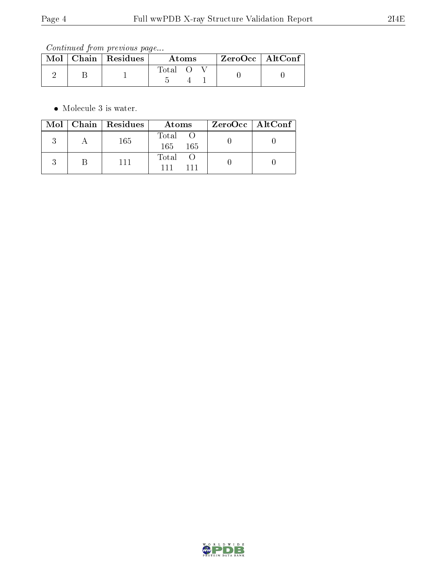Continued from previous page...

|  | Mol   Chain   Residues | Atoms |  |  | ZeroOcc   AltConf |
|--|------------------------|-------|--|--|-------------------|
|  |                        | fotal |  |  |                   |

• Molecule 3 is water.

|  | Mol   Chain   Residues | Atoms                  | $ZeroOcc \mid AltConf \mid$ |
|--|------------------------|------------------------|-----------------------------|
|  | 165                    | Total O<br>165<br>-165 |                             |
|  | 111                    | Total O<br>111         |                             |

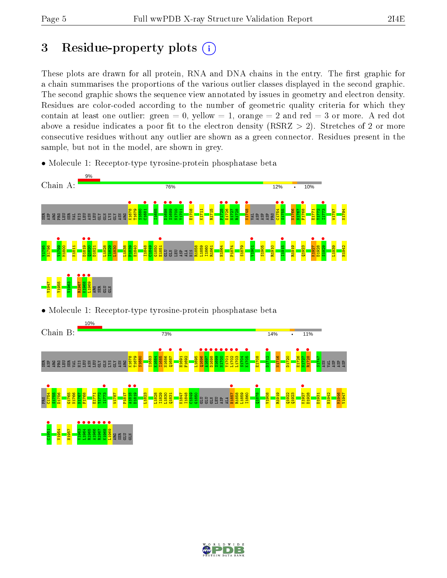## 3 Residue-property plots  $(i)$

These plots are drawn for all protein, RNA and DNA chains in the entry. The first graphic for a chain summarises the proportions of the various outlier classes displayed in the second graphic. The second graphic shows the sequence view annotated by issues in geometry and electron density. Residues are color-coded according to the number of geometric quality criteria for which they contain at least one outlier: green  $= 0$ , yellow  $= 1$ , orange  $= 2$  and red  $= 3$  or more. A red dot above a residue indicates a poor fit to the electron density (RSRZ  $> 2$ ). Stretches of 2 or more consecutive residues without any outlier are shown as a green connector. Residues present in the sample, but not in the model, are shown in grey.

• Molecule 1: Receptor-type tyrosine-protein phosphatase beta



• Molecule 1: Receptor-type tyrosine-protein phosphatase beta



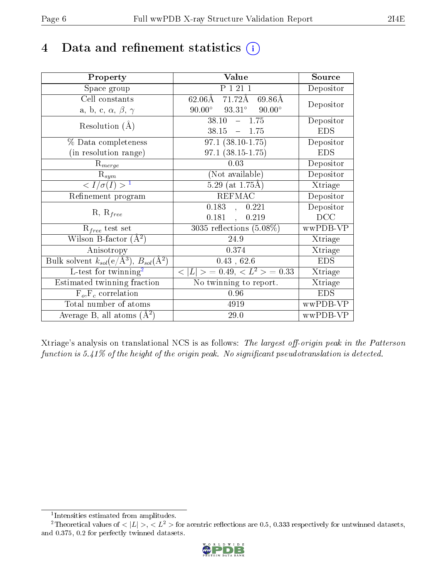### 4 Data and refinement statistics  $(i)$

| Property                                                         | Value                                             | Source     |
|------------------------------------------------------------------|---------------------------------------------------|------------|
| Space group                                                      | P 1 21 1                                          | Depositor  |
| Cell constants                                                   | $62.06\text{\AA}$ 71.72Å 69.86Å                   | Depositor  |
| a, b, c, $\alpha$ , $\beta$ , $\gamma$                           | $93.31^\circ$<br>$90.00^\circ$<br>$90.00^{\circ}$ |            |
| Resolution $(A)$                                                 | 38.10<br>$-1.75$                                  | Depositor  |
|                                                                  | $38.15 - 1.75$                                    | <b>EDS</b> |
| $\%$ Data completeness                                           | $97.1(38.10-1.75)$                                | Depositor  |
| (in resolution range)                                            | $97.1(38.15-1.75)$                                | <b>EDS</b> |
| $R_{merge}$                                                      | 0.03                                              | Depositor  |
| $\mathrm{R}_{sym}$                                               | (Not available)                                   | Depositor  |
| $\langle I/\sigma(I) \rangle^{-1}$                               | $5.29$ (at 1.75Å)                                 | Xtriage    |
| Refinement program                                               | <b>REFMAC</b>                                     | Depositor  |
|                                                                  | 0.183,<br>0.221                                   | Depositor  |
| $R, R_{free}$                                                    | $0.181$ ,<br>0.219                                | DCC        |
| $R_{free}$ test set                                              | $3035$ reflections $(5.08\%)$                     | wwPDB-VP   |
| Wilson B-factor $(A^2)$                                          | 24.9                                              | Xtriage    |
| Anisotropy                                                       | 0.374                                             | Xtriage    |
| Bulk solvent $k_{sol}(\text{e}/\text{A}^3), B_{sol}(\text{A}^2)$ | 0.43, 62.6                                        | <b>EDS</b> |
| $L$ -test for twinning <sup>2</sup>                              | $< L >$ = 0.49, $< L2$ = 0.33                     | Xtriage    |
| Estimated twinning fraction                                      | No twinning to report.                            | Xtriage    |
| $\overline{F_o}, \overline{F_c}$ correlation                     | 0.96                                              | <b>EDS</b> |
| Total number of atoms                                            | 4919                                              | wwPDB-VP   |
| Average B, all atoms $(A^2)$                                     | 29.0                                              | wwPDB-VP   |

Xtriage's analysis on translational NCS is as follows: The largest off-origin peak in the Patterson function is  $5.41\%$  of the height of the origin peak. No significant pseudotranslation is detected.

<sup>&</sup>lt;sup>2</sup>Theoretical values of  $\langle |L| \rangle$ ,  $\langle L^2 \rangle$  for acentric reflections are 0.5, 0.333 respectively for untwinned datasets, and 0.375, 0.2 for perfectly twinned datasets.



<span id="page-5-1"></span><span id="page-5-0"></span><sup>1</sup> Intensities estimated from amplitudes.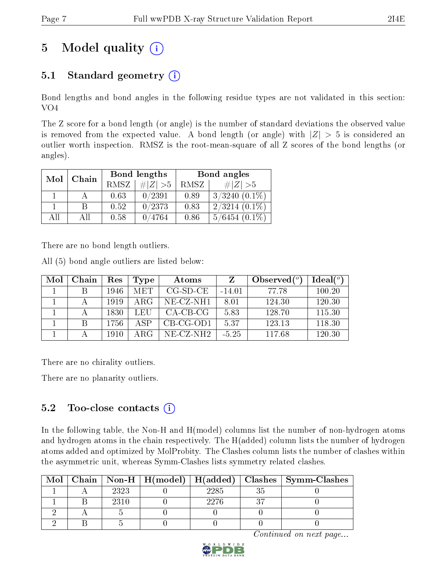## 5 Model quality  $(i)$

### 5.1 Standard geometry  $(i)$

Bond lengths and bond angles in the following residue types are not validated in this section: VO4

The Z score for a bond length (or angle) is the number of standard deviations the observed value is removed from the expected value. A bond length (or angle) with  $|Z| > 5$  is considered an outlier worth inspection. RMSZ is the root-mean-square of all Z scores of the bond lengths (or angles).

| Mol | Chain |             | Bond lengths | Bond angles |                    |  |
|-----|-------|-------------|--------------|-------------|--------------------|--|
|     |       | <b>RMSZ</b> | $\# Z  > 5$  | RMSZ        | $\# Z  > 5$        |  |
|     |       | 0.63        | 0/2391       | 0.89        | $3/3240$ $(0.1\%)$ |  |
|     | B     | 0.52        | 0/2373       | 0.83        | $2/3214(0.1\%)$    |  |
| AĦ  | All   | 0.58        | 0/4764       | 0.86        | $5/6454(0.1\%)$    |  |

There are no bond length outliers.

All (5) bond angle outliers are listed below:

| Mol | Chain | $\operatorname{Res}% \left( \mathcal{N}\right) \equiv\operatorname{Res}(\mathcal{N}_{0})\cap\mathcal{N}_{1}$ | Type       | Atoms       | Z        | Observed $(^\circ)$ | Ideal $(°)$ |
|-----|-------|--------------------------------------------------------------------------------------------------------------|------------|-------------|----------|---------------------|-------------|
|     |       | 1946                                                                                                         | <b>MET</b> | $CG-SD-CE$  | $-14.01$ | 77.78               | 100.20      |
|     |       | 1919                                                                                                         | ARG        | $NE-CZ-NH1$ | 8.01     | 124.30              | 120.30      |
|     |       | 1830                                                                                                         | LEU        | $CA-CB-CG$  | 5.83     | 128.70              | 115.30      |
|     | В     | 1756                                                                                                         | ASP        | $CB-CG-OD1$ | 5.37     | 123.13              | 118.30      |
|     |       | 1910                                                                                                         | ARG        | $NE-CZ-NH2$ | $-5.25$  | 117.68              | 120.30      |

There are no chirality outliers.

There are no planarity outliers.

### 5.2 Too-close contacts (i)

In the following table, the Non-H and H(model) columns list the number of non-hydrogen atoms and hydrogen atoms in the chain respectively. The H(added) column lists the number of hydrogen atoms added and optimized by MolProbity. The Clashes column lists the number of clashes within the asymmetric unit, whereas Symm-Clashes lists symmetry related clashes.

| Mol |      |      | Chain   Non-H   H(model)   H(added)   Clashes   Symm-Clashes |
|-----|------|------|--------------------------------------------------------------|
|     | 2323 | 2285 |                                                              |
|     | 2310 | 2276 |                                                              |
|     |      |      |                                                              |
|     |      |      |                                                              |

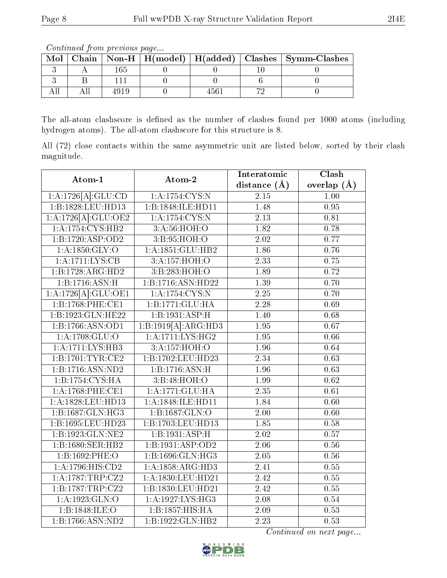Continued from previous page...

| Mol |  |  | Chain   Non-H   H(model)   H(added)   Clashes   Symm-Clashes |
|-----|--|--|--------------------------------------------------------------|
|     |  |  |                                                              |
|     |  |  |                                                              |
|     |  |  |                                                              |

The all-atom clashscore is defined as the number of clashes found per 1000 atoms (including hydrogen atoms). The all-atom clashscore for this structure is 8.

All (72) close contacts within the same asymmetric unit are listed below, sorted by their clash magnitude.

| Atom-1               | Atom-2              | Interatomic       | Clash         |
|----------------------|---------------------|-------------------|---------------|
|                      |                     | distance $(A)$    | overlap $(A)$ |
| 1:A:1726[A]:GLU:CD   | 1:A:1754:CYS:N      | 2.15              | 1.00          |
| 1:B:1828:LEU:HD13    | 1:B:1848:ILE:HD11   | 1.48              | 0.95          |
| 1:A:1726[A]:GLU:OE2  | 1:A:1754:CYS:N      | 2.13              | 0.81          |
| 1:A:1754:CYS:HB2     | 3:A:56:HOH:O        | 1.82              | 0.78          |
| 1:B:1720:ASP:OD2     | 3:B:95:HOH:O        | 2.02              | 0.77          |
| 1: A: 1850: GLY: O   | 1:A:1851:GLU:HB2    | 1.86              | 0.76          |
| 1:A:1711:LYS:CB      | 3:A:157:HOH:O       | 2.33              | 0.75          |
| 1:B:1728:ARG:HD2     | 3:B:283:HOH:O       | 1.89              | 0.72          |
| 1:B:1716:ASN:H       | 1:B:1716:ASN:HD22   | $\overline{1.39}$ | 0.70          |
| 1:A:1726[A]:GLU:OE1  | 1: A: 1754: CYS:N   | $2.\overline{25}$ | 0.70          |
| 1:B:1768:PHE:CE1     | 1:B:1771:GLU:HA     | 2.28              | 0.69          |
| 1:B:1923:GLN:HE22    | 1:B:1931:ASP:H      | 1.40              | 0.68          |
| 1:B:1766:ASN:OD1     | 1:B:1919[A]:ARG:HD3 | 1.95              | 0.67          |
| 1: A:1708: GLU:O     | 1: A:1711: LYS: HG2 | 1.95              | 0.66          |
| 1:A:1711:LYS:HB3     | 3:A:157:HOH:O       | 1.96              | 0.64          |
| 1:B:1701:TYR:CE2     | 1:B:1702:LEU:HD23   | $\overline{2.34}$ | 0.63          |
| 1:B:1716:ASN:ND2     | 1:B:1716:ASN:H      | 1.96              | 0.63          |
| 1:B:1754:CYS:HA      | 3:B:48:HOH:O        | 1.99              | 0.62          |
| $1: A:1768:$ PHE:CE1 | 1: A:1771: GLU: HA  | $\overline{2.35}$ | 0.61          |
| 1:A:1828:LEU:HD13    | 1:A:1848:ILE:HD11   | 1.84              | 0.60          |
| 1:B:1687:GLN:HG3     | 1:B:1687:GLN:O      | 2.00              | 0.60          |
| 1:B:1695:LEU:HD23    | 1:B:1703:LEU:HD13   | 1.85              | 0.58          |
| 1:B:1923:GLN:NE2     | 1:B:1931:ASP:H      | 2.02              | 0.57          |
| 1:B:1680:SER:HB2     | 1:B:1931:ASP:OD2    | $\overline{2.06}$ | 0.56          |
| 1:B:1692:PHE:O       | 1:B:1696:GLN:HG3    | $2.05\,$          | $0.56\,$      |
| 1: A: 1796: HIS: CD2 | 1:A:1858:ARG:HD3    | 2.41              | 0.55          |
| 1:A:1787:TRP:CZ2     | 1:A:1830:LEU:HD21   | 2.42              | 0.55          |
| 1:B:1787:TRP:CZ2     | 1:B:1830:LEU:HD21   | $\overline{2.42}$ | 0.55          |
| 1: A: 1923: GLN: O   | 1:A:1927:LYS:HG3    | 2.08              | 0.54          |
| 1:B:1848:ILE:O       | 1:B:1857:HIS:HA     | 2.09              | 0.53          |
| 1:B:1766:ASN:ND2     | 1:B:1922:GLN:HB2    | $\overline{2.23}$ | 0.53          |

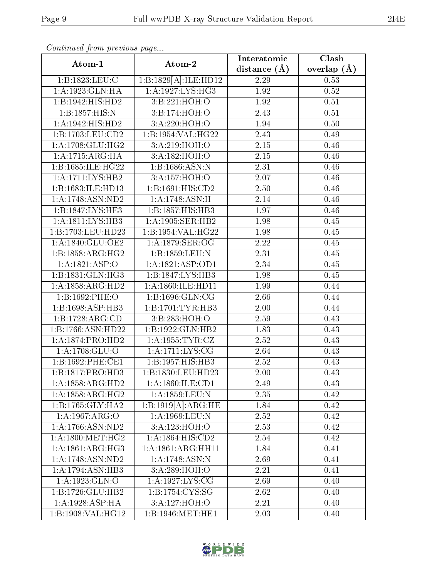| Atom-1                        | Atom-2                                | Interatomic       | Clash         |
|-------------------------------|---------------------------------------|-------------------|---------------|
|                               |                                       | distance $(\AA)$  | overlap $(A)$ |
| 1:B:1823:LEU:C                | 1:B:1829[A]:ILE:HD12                  | 2.29              | 0.53          |
| 1:A:1923:GLN:HA               | 1:A:1927:LYS:HG3                      | 1.92              | 0.52          |
| 1:B:1942:HIS:HD2              | 3:B:221:HOH:O                         | 1.92              | 0.51          |
| 1:B:1857:HIS:N                | 3:B:174:HOH:O                         | 2.43              | 0.51          |
| 1:A:1942:HIS:HD2              | 3:A:220:HOH:O                         | 1.94              | 0.50          |
| 1:B:1703:LEU:CD2              | $1:B:1954:\overline{\text{VAL}:HG22}$ | 2.43              | 0.49          |
| 1:A:1708:GLU:HG2              | 3:A:219:HOH:O                         | $\overline{2.15}$ | 0.46          |
| 1: A:1715: ARG: HA            | 3:A:182:HOH:O                         | 2.15              | 0.46          |
| 1:B:1685:ILE:HG22             | 1:B:1686:ASN:N                        | 2.31              | 0.46          |
| 1: A:1711: LYS:HB2            | 3:A:157:HOH:O                         | 2.07              | 0.46          |
| 1:B:1683:ILE:HD13             | 1:B:1691:HIS:CD2                      | 2.50              | 0.46          |
| 1:A:1748:ASN:ND2              | 1:A:1748:ASN:H                        | 2.14              | 0.46          |
| 1: B: 1847: LYS: HE3          | 1:B:1857:HIS:HB3                      | 1.97              | 0.46          |
| $1:A:\overline{1811:LYS:HB3}$ | 1:A:1905:SER:HB2                      | 1.98              | 0.45          |
| 1:B:1703:LEU:HD23             | 1:B:1954:VAL:HG22                     | 1.98              | 0.45          |
| 1: A: 1840: GLU: OE2          | 1: A: 1879: SER: OG                   | 2.22              | 0.45          |
| 1:B:1858:ARG:HG2              | 1:B:1859:LEU:N                        | 2.31              | 0.45          |
| 1:A:1821:ASP:O                | 1: A: 1821: ASP: OD1                  | 2.34              | 0.45          |
| 1:B:1831:GLN:HG3              | 1:B:1847:LYS:HB3                      | 1.98              | 0.45          |
| 1:A:1858:ARG:HD2              | 1:A:1860:ILE:HD11                     | 1.99              | 0.44          |
| 1:B:1692:PHE:O                | 1:B:1696:GLN:CG                       | 2.66              | 0.44          |
| 1:B:1698:ASP:HB3              | 1:B:1701:TYR:HB3                      | 2.00              | 0.44          |
| 1:B:1728:ARG:CD               | 3:B:283:HOH:O                         | 2.59              | 0.43          |
| 1:B:1766:ASN:HD22             | 1:B:1922:GLN:HB2                      | 1.83              | 0.43          |
| 1:A:1874:PRO:HD2              | 1: A: 1955: TYR: CZ                   | 2.52              | 0.43          |
| 1:A:1708:GLU:O                | 1:A:1711:LYS:CG                       | 2.64              | 0.43          |
| 1:B:1692:PHE:CE1              | 1:B:1957:HIS:HB3                      | 2.52              | 0.43          |
| 1:B:1817:PRO:HD3              | 1:B:1830:LEU:HD23                     | 2.00              | 0.43          |
| 1:A:1858:ARG:HD2              | $1:$ A:1860:ILE:CD1                   | 2.49              | 0.43          |
| 1: A: 1858: ARG: HG2          | 1:A:1859:LEU:N                        | 2.35              | 0.42          |
| 1:B:1765:GLY:HA2              | 1:B:1919[A]:ARG:HE                    | 1.84              | 0.42          |
| 1:A:1967:ARG:O                | 1:A:1969:LEU:N                        | 2.52              | 0.42          |
| 1:A:1766:ASN:ND2              | 3:A:123:HOH:O                         | 2.53              | 0.42          |
| 1: A:1800:MET:HG2             | 1: A: 1864: HIS: CD2                  | 2.54              | 0.42          |
| 1:A:1861:ARG:HG3              | 1:A:1861:ARG:HH11                     | 1.84              | 0.41          |
| 1:A:1748:ASN:ND2              | 1:A:1748:ASN:N                        | 2.69              | 0.41          |
| 1:A:1794:ASN:HB3              | 3:A:289:HOH:O                         | 2.21              | 0.41          |
| 1:A:1923:GLN:O                | 1: A: 1927: LYS: CG                   | 2.69              | 0.40          |
| 1:B:1726:GLU:HB2              | 1: B: 1754: CYS: SG                   | 2.62              | 0.40          |
| $1:A:1928:\overline{ASP:HA}$  | 3:A:127:HOH:O                         | 2.21              | 0.40          |
| 1:B:1908:VAL:HG12             | 1:B:1946:MET:HE1                      | 2.03              | 0.40          |

Continued from previous page...

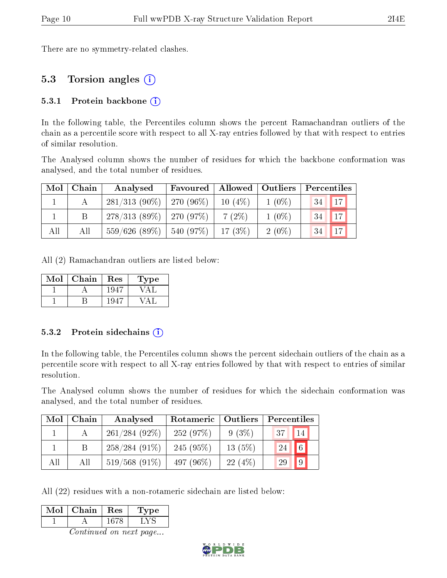There are no symmetry-related clashes.

### 5.3 Torsion angles (i)

#### 5.3.1 Protein backbone  $(i)$

In the following table, the Percentiles column shows the percent Ramachandran outliers of the chain as a percentile score with respect to all X-ray entries followed by that with respect to entries of similar resolution.

The Analysed column shows the number of residues for which the backbone conformation was analysed, and the total number of residues.

| Mol | Chain | Analysed                     | Favoured         |           | Allowed   Outliers |    | $\overline{\phantom{a}}$ Percentiles |  |  |
|-----|-------|------------------------------|------------------|-----------|--------------------|----|--------------------------------------|--|--|
|     |       | $281/313(90\%)$              | $\mid$ 270 (96%) | $10(4\%)$ | $1(0\%)$           | 34 | $\vert$ 17 $\vert$                   |  |  |
|     |       | $278/313(89\%)$   270 (97\%) |                  | $7(2\%)$  | $1(0\%)$           | 34 | 17                                   |  |  |
| All | All   | $559/626(89\%)$              | $ 540(97\%)$     | 17(3%)    | $2(0\%)$           | 34 | 17                                   |  |  |

All (2) Ramachandran outliers are listed below:

| Mol | Chain | Res   | Type |
|-----|-------|-------|------|
|     |       | 1947  |      |
|     |       | -1947 |      |

#### 5.3.2 Protein sidechains  $(i)$

In the following table, the Percentiles column shows the percent sidechain outliers of the chain as a percentile score with respect to all X-ray entries followed by that with respect to entries of similar resolution.

The Analysed column shows the number of residues for which the sidechain conformation was analysed, and the total number of residues.

| Mol | Chain | Analysed         | Outliers<br>Rotameric |          | Percentiles           |  |  |
|-----|-------|------------------|-----------------------|----------|-----------------------|--|--|
|     |       | $261/284(92\%)$  | 252(97%)              | $9(3\%)$ | 37 <sup>1</sup><br>14 |  |  |
|     |       | $258/284(91\%)$  | $245(95\%)$           | 13(5%)   | 6 <sup>1</sup><br>24  |  |  |
| All | All   | $519/568$ (91\%) | 497 (96\%)            | 22(4%)   | $\sqrt{9}$<br>29      |  |  |

All (22) residues with a non-rotameric sidechain are listed below:

| Mol | Chain | Res | Type |
|-----|-------|-----|------|
|     |       |     |      |
|     |       |     |      |

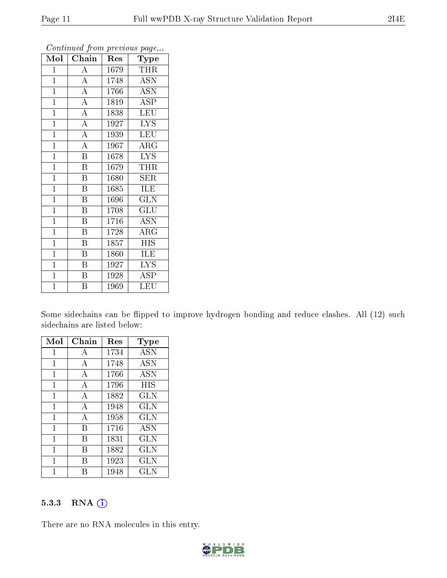| Mol            | Chain                   | Res  | Type        |
|----------------|-------------------------|------|-------------|
| $\mathbf{1}$   | $\boldsymbol{A}$        | 1679 | <b>THR</b>  |
| $\overline{1}$ | $\overline{A}$          | 1748 | ASN         |
| $\mathbf{1}$   | $\overline{A}$          | 1766 | <b>ASN</b>  |
| $\overline{1}$ | $\overline{A}$          | 1819 | <b>ASP</b>  |
| $\overline{1}$ | $\overline{\rm A}$      | 1838 | <b>LEU</b>  |
| $\mathbf{1}$   | $\overline{\rm A}$      | 1927 | <b>LYS</b>  |
| $\overline{1}$ | $\overline{\rm A}$      | 1939 | <b>LEU</b>  |
| $\mathbf{1}$   | $\overline{A}$          | 1967 | $\rm{ARG}$  |
| $\mathbf{1}$   | $\overline{\mathrm{B}}$ | 1678 | <b>LYS</b>  |
| $\overline{1}$ | $\overline{\mathrm{B}}$ | 1679 | <b>THR</b>  |
| $\mathbf{1}$   | $\boldsymbol{B}$        | 1680 | ${\rm SER}$ |
| $\mathbf{1}$   | $\overline{\mathrm{B}}$ | 1685 | ILE         |
| $\overline{1}$ | B                       | 1696 | GLN         |
| $\mathbf{1}$   | B                       | 1708 | GLU         |
| $\mathbf{1}$   | $\overline{\mathrm{B}}$ | 1716 | ASN         |
| $\mathbf{1}$   | Β                       | 1728 | $\rm{ARG}$  |
| $\mathbf{1}$   | $\overline{\mathrm{B}}$ | 1857 | <b>HIS</b>  |
| $\mathbf{1}$   | B                       | 1860 | ILE         |
| $\mathbf{1}$   | B                       | 1927 | <b>LYS</b>  |
| $\overline{1}$ | $\overline{\mathrm{B}}$ | 1928 | <b>ASP</b>  |
| $\overline{1}$ | B                       | 1969 | LEU         |

Continued from previous page...

Some sidechains can be flipped to improve hydrogen bonding and reduce clashes. All (12) such sidechains are listed below:

| Mol          | ${\rm Chain}$  | $\operatorname{Res}% \left( \mathcal{N}\right) \equiv\operatorname*{Res}\left( \mathcal{N}\right)$ | Type         |
|--------------|----------------|----------------------------------------------------------------------------------------------------|--------------|
| 1            | A              | 1734                                                                                               | <b>ASN</b>   |
| 1            | A              | 1748                                                                                               | <b>ASN</b>   |
| 1            | $\overline{A}$ | 1766                                                                                               | <b>ASN</b>   |
| 1            | $\mathbf{A}$   | 1796                                                                                               | <b>HIS</b>   |
| 1            | А              | 1882                                                                                               | GLN          |
| 1            | A              | 1948                                                                                               | <b>GLN</b>   |
| $\mathbf{1}$ | А              | 1958                                                                                               | <b>GLN</b>   |
| 1            | В              | 1716                                                                                               | <b>ASN</b>   |
| 1            | В              | 1831                                                                                               | <b>GLN</b>   |
| 1            | R              | 1882                                                                                               | GLN          |
| 1            | В              | 1923                                                                                               | GLN          |
|              |                | 1948                                                                                               | $_{\rm GLN}$ |

#### 5.3.3 RNA (i)

There are no RNA molecules in this entry.

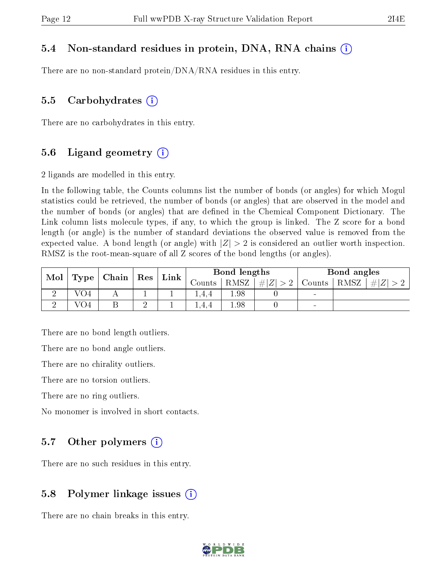#### 5.4 Non-standard residues in protein, DNA, RNA chains (i)

There are no non-standard protein/DNA/RNA residues in this entry.

#### 5.5 Carbohydrates  $(i)$

There are no carbohydrates in this entry.

#### 5.6 Ligand geometry  $(i)$

2 ligands are modelled in this entry.

In the following table, the Counts columns list the number of bonds (or angles) for which Mogul statistics could be retrieved, the number of bonds (or angles) that are observed in the model and the number of bonds (or angles) that are dened in the Chemical Component Dictionary. The Link column lists molecule types, if any, to which the group is linked. The Z score for a bond length (or angle) is the number of standard deviations the observed value is removed from the expected value. A bond length (or angle) with  $|Z| > 2$  is considered an outlier worth inspection. RMSZ is the root-mean-square of all Z scores of the bond lengths (or angles).

| Mol |                                 |   |  |        |       |             | ${\rm Res}$ | $Link \mid$                  |  | Bond lengths |  |  | Bond angles |
|-----|---------------------------------|---|--|--------|-------|-------------|-------------|------------------------------|--|--------------|--|--|-------------|
|     | $\,$ Type $\,$ Chain $_{\rm 1}$ |   |  | Counts | RMSZ  | # $ Z  > 2$ | Counts      | RMSZ<br>   Z                 |  |              |  |  |             |
|     | VO4                             |   |  |        | .4.4  | 1.98        |             | $\sim$                       |  |              |  |  |             |
|     | $\mathrm{VO4}^-$                | В |  |        | 1.4.4 | 1.98        |             | $\qquad \qquad \blacksquare$ |  |              |  |  |             |

There are no bond length outliers.

There are no bond angle outliers.

There are no chirality outliers.

There are no torsion outliers.

There are no ring outliers.

No monomer is involved in short contacts.

#### 5.7 [O](https://www.wwpdb.org/validation/2017/XrayValidationReportHelp#nonstandard_residues_and_ligands)ther polymers  $(i)$

There are no such residues in this entry.

#### 5.8 Polymer linkage issues  $(i)$

There are no chain breaks in this entry.

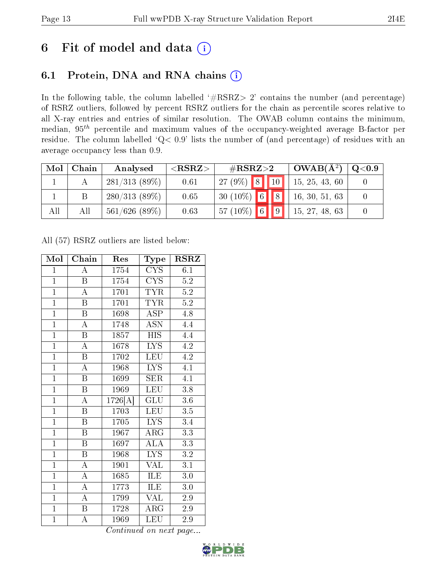## 6 Fit of model and data  $(i)$

### 6.1 Protein, DNA and RNA chains  $(i)$

In the following table, the column labelled  $#RSRZ> 2'$  contains the number (and percentage) of RSRZ outliers, followed by percent RSRZ outliers for the chain as percentile scores relative to all X-ray entries and entries of similar resolution. The OWAB column contains the minimum, median,  $95<sup>th</sup>$  percentile and maximum values of the occupancy-weighted average B-factor per residue. The column labelled ' $Q< 0.9$ ' lists the number of (and percentage) of residues with an average occupancy less than 0.9.

| Mol | Chain | Analysed         | ${ <\hspace{-1.5pt}{\mathrm{RSRZ}} \hspace{-1.5pt}>}$ | $\rm \#RSRZ{>}2$ |  | $\sim$ OWAB( $\rm \AA^2)$ ) | Q <sub>0.9</sub> |
|-----|-------|------------------|-------------------------------------------------------|------------------|--|-----------------------------|------------------|
|     |       | $281/313(89\%)$  | 0.61                                                  | $27(9\%)$ 8 10   |  | 15, 25, 43, 60              |                  |
|     |       | $280/313(89\%)$  | 0.65                                                  | $30(10\%)$ 6 8   |  | 16, 30, 51, 63              |                  |
| All | Аll   | $561/626$ (89\%) | 0.63                                                  | $57(10\%)$ 6 9   |  | 15, 27, 48, 63              |                  |

All (57) RSRZ outliers are listed below:

| Mol            | Chain                   | Res                | <b>Type</b>                             |                  |
|----------------|-------------------------|--------------------|-----------------------------------------|------------------|
| $\mathbf{1}$   | A                       | 1754<br><b>CYS</b> |                                         | 6.1              |
| $\mathbf{1}$   | $\, {\bf B}$            | 1754               | <b>CYS</b>                              | $5.2\,$          |
| $\overline{1}$ | $\overline{\rm A}$      | 1701               | TYR                                     | 5.2              |
| $\overline{1}$ | $\boldsymbol{B}$        | <b>TYR</b><br>1701 |                                         | $5.2\,$          |
| $\overline{1}$ | $\boldsymbol{B}$        | 1698               | $\overline{\text{ASP}}$                 | 4.8              |
| $\mathbf{1}$   | A                       | 1748               | ASN                                     | 4.4              |
| $\overline{1}$ | B                       | 1857               | <b>HIS</b>                              | 4.4              |
| $\overline{1}$ | $\overline{\rm A}$      | 1678               | <b>LYS</b>                              | 4.2              |
| $\overline{1}$ | $\boldsymbol{B}$        | 1702               | <b>LEU</b>                              | 4.2              |
| $\overline{1}$ | A                       | 1968               | $\overline{\text{L} \text{Y}} \text{S}$ | 4.1              |
| $\overline{1}$ | $\overline{B}$          | 1699               | $\overline{\text{SER}}$                 | 4.1              |
| $\overline{1}$ | $\boldsymbol{B}$        | 1969               | <b>LEU</b>                              | 3.8              |
| $\overline{1}$ | $\overline{A}$          | 1726[A]            | GLU                                     | 3.6              |
| $\overline{1}$ | $\overline{B}$          | 1703               | <b>LEU</b>                              | 3.5              |
| $\overline{1}$ | $\overline{\mathbf{B}}$ | 1705               | <b>LYS</b>                              | 3.4              |
| $\overline{1}$ | $\, {\bf B}$            | 1967               | $\rm{ARG}$                              | 3.3              |
| $\overline{1}$ | $\overline{\mathrm{B}}$ | $\overline{1697}$  | $\overline{\rm ALA}$                    | $\overline{3}.3$ |
| $\mathbf{1}$   | $\boldsymbol{B}$        | $196\overline{8}$  | <b>LYS</b>                              | $3.2\,$          |
| $\overline{1}$ | $\overline{\rm A}$      | 1901               | $\overline{\text{VAL}}$                 | 3.1              |
| $\overline{1}$ | $\overline{\rm A}$      | 1685               | $\overline{\textrm{LE}}$                | $3.0\,$          |
| $\overline{1}$ | $\bf{A}$                | 1773               | ILE                                     | 3.0              |
| $\overline{1}$ | A                       | 1799               | $\overline{\text{VAL}}$                 | 2.9              |
| $\mathbf{1}$   | $\overline{\mathrm{B}}$ | 1728               | $\rm{ARG}$                              | 2.9              |
| $\overline{1}$ | А                       | 1969               | LEU                                     | 2.9              |

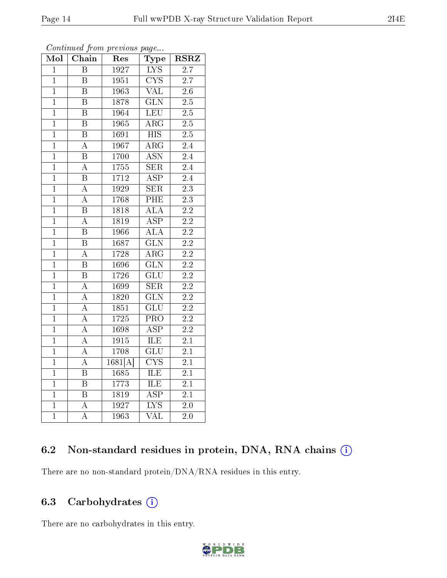| $\overline{\text{Mol}}$ | Chain                   | Res               | Type                            | <b>RSRZ</b>      |
|-------------------------|-------------------------|-------------------|---------------------------------|------------------|
| $\overline{1}$          | $\overline{\mathrm{B}}$ | 1927              | <b>LYS</b>                      | $\overline{2.7}$ |
| $\overline{1}$          | $\overline{\mathrm{B}}$ | 1951              | $\overline{\text{C} \text{YS}}$ | $\overline{2.7}$ |
| $\overline{1}$          | $\overline{\mathrm{B}}$ | 1963              | $\overline{\text{VAL}}$         | $\overline{2.6}$ |
| $\overline{1}$          | $\overline{\mathrm{B}}$ | 1878              | $\overline{\text{GLN}}$         | $\overline{2.5}$ |
| $\mathbf{1}$            | $\overline{\mathrm{B}}$ | 1964              | LEU                             | $\overline{2.5}$ |
| $\overline{1}$          | $\overline{\mathrm{B}}$ | 1965              | $\overline{\rm{ARG}}$           | $2.5\,$          |
| $\overline{1}$          | $\overline{\mathrm{B}}$ | 1691              | $\overline{\text{HIS}}$         | $\overline{2.5}$ |
| $\overline{1}$          | $\overline{\rm A}$      | 1967              | $\overline{\rm ARG}$            | $\overline{2.4}$ |
| $\mathbf{1}$            | $\overline{\mathrm{B}}$ | 1700              | $\overline{\text{ASN}}$         | $\overline{2.4}$ |
| $\overline{1}$          | $\overline{\rm A}$      | 1755              | $\overline{\text{SER}}$         |                  |
| $\overline{1}$          | $\overline{\mathrm{B}}$ | $\overline{1712}$ | $\overline{\text{ASP}}$         | $\overline{2.4}$ |
| $\overline{1}$          | $\overline{\rm A}$      | 1929              | $\overline{\text{SER}}$         | $\overline{2.3}$ |
| $\overline{1}$          | $\overline{\rm A}$      | 1768              | $\overline{\rm{PHE}}$           | $\overline{2.3}$ |
| $\mathbf{1}$            | $\boldsymbol{B}$        | 1818              | $\overline{\text{ALA}}$         | $\overline{2.2}$ |
| $\overline{1}$          | $\overline{\rm A}$      | 1819              | $\overline{\text{ASP}}$         | $\overline{2.2}$ |
| $\mathbf{1}$            | $\overline{B}$          | 1966              | ALA                             | 2.2              |
| $\overline{1}$          | $\overline{\mathrm{B}}$ | 1687              | $\overline{\text{GLN}}$         | $\overline{2.2}$ |
| $\overline{1}$          | $\overline{\rm A}$      | 1728              | $\overline{\rm{ARG}}$           | $\overline{2.2}$ |
| $\overline{1}$          | $\overline{\mathrm{B}}$ | 1696              | $\overline{\text{GLN}}$         | $\overline{2.2}$ |
| $\overline{1}$          | $\overline{\mathrm{B}}$ | 1726              | $\overline{\text{GLU}}$         | $\overline{2.2}$ |
| $\mathbf{1}$            | $\boldsymbol{A}$        | 1699              | <b>SER</b>                      | $2.2\,$          |
| $\overline{1}$          | $\overline{\rm A}$      | 1820              | $\overline{\text{GLN}}$         | $\overline{2.2}$ |
| $\overline{1}$          | $\boldsymbol{A}$        | 1851              | $\overline{\text{GLU}}$         | $\overline{2.2}$ |
| $\overline{1}$          | $\overline{\rm A}$      | 1725              | $\overline{\mathrm{PRO}}$       | $\overline{2.2}$ |
| $\mathbf{1}$            | $\overline{\rm A}$      | 1698              | $\overline{\text{ASP}}$         | $2.2\,$          |
| $\mathbf{1}$            | $\boldsymbol{A}$        | 1915              | ILE                             | 2.1              |
| $\overline{1}$          | $\overline{\rm A}$      | 1708              | $\overline{\text{GLU}}$         | $\overline{2.1}$ |
| $\overline{1}$          | A                       | 1681[A]           | $\overline{\text{CYS}}$         | $\overline{2.1}$ |
| $\overline{1}$          | $\overline{\mathrm{B}}$ | 1685              | $\overline{\text{ILE}}$         | $\overline{2.1}$ |
| $\overline{1}$          | $\boldsymbol{B}$        | 1773              | ILE                             | 2.1              |
| $\mathbf{1}$            | $\overline{B}$          | 1819              | $\overline{\rm ASP}$            | 2.1              |
| $\overline{1}$          | A                       | 1927              | $\overline{\text{LYS}}$         | $\overline{2.0}$ |
| $\overline{1}$          | $\overline{\rm A}$      | 1963              | VAL                             | $\overline{2.0}$ |

Continued from previous page...

### 6.2 Non-standard residues in protein, DNA, RNA chains (i)

There are no non-standard protein/DNA/RNA residues in this entry.

#### 6.3 Carbohydrates  $(i)$

There are no carbohydrates in this entry.